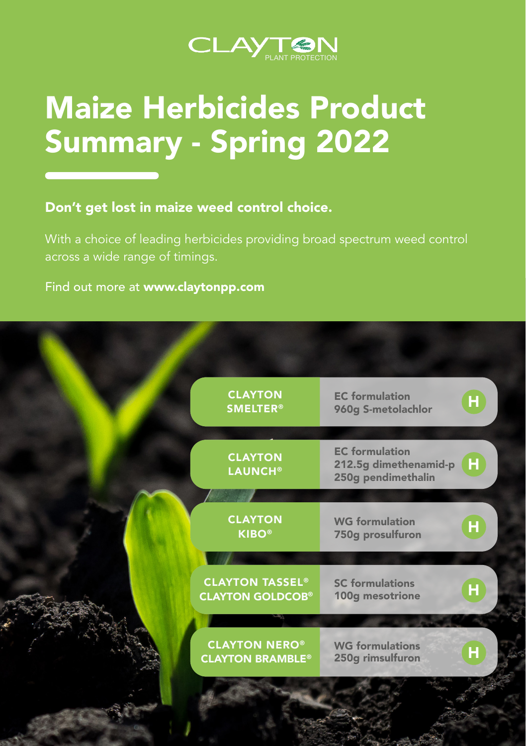

# Maize Herbicides Product Summary - Spring 2022

Don't get lost in maize weed control choice.

With a choice of leading herbicides providing broad spectrum weed control across a wide range of timings.

Find out more at www.claytonpp.com